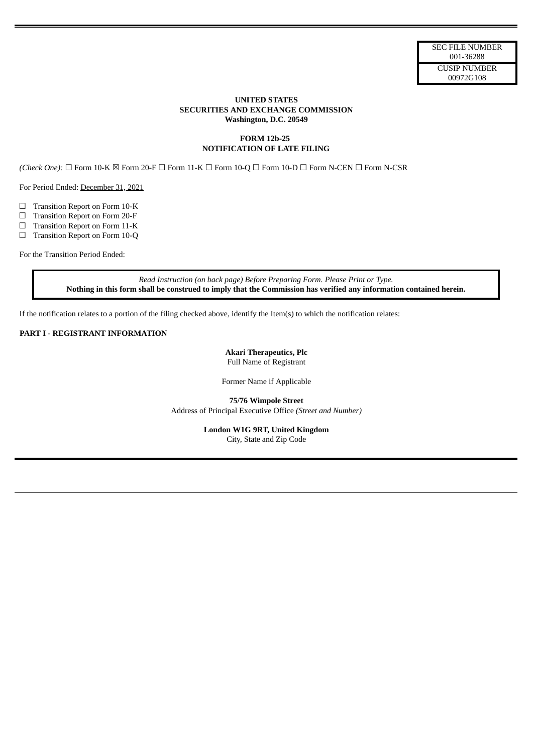## **UNITED STATES SECURITIES AND EXCHANGE COMMISSION Washington, D.C. 20549**

## **FORM 12b-25 NOTIFICATION OF LATE FILING**

*(Check One):* ☐ Form 10-K ☒ Form 20-F ☐ Form 11-K ☐ Form 10-Q ☐ Form 10-D ☐ Form N-CEN ☐ Form N-CSR

For Period Ended: December 31, 2021

☐ Transition Report on Form 10-K

☐ Transition Report on Form 20-F

☐ Transition Report on Form 11-K

□ Transition Report on Form 10-Q

For the Transition Period Ended:

*Read Instruction (on back page) Before Preparing Form. Please Print or Type.* Nothing in this form shall be construed to imply that the Commission has verified any information contained herein.

If the notification relates to a portion of the filing checked above, identify the Item(s) to which the notification relates:

#### **PART I** - **REGISTRANT INFORMATION**

**Akari Therapeutics, Plc** Full Name of Registrant

Former Name if Applicable

**75/76 Wimpole Street** Address of Principal Executive Office *(Street and Number)*

> **London W1G 9RT, United Kingdom** City, State and Zip Code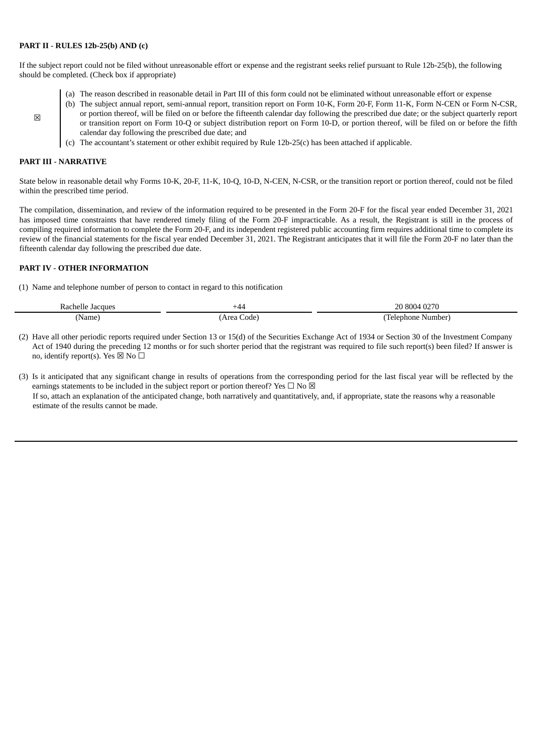### **PART II** - **RULES 12b-25(b) AND (c)**

If the subject report could not be filed without unreasonable effort or expense and the registrant seeks relief pursuant to Rule 12b-25(b), the following should be completed. (Check box if appropriate)

- (a) The reason described in reasonable detail in Part III of this form could not be eliminated without unreasonable effort or expense
- (b) The subject annual report, semi-annual report, transition report on Form 10-K, Form 20-F, Form 11-K, Form N-CEN or Form N-CSR, or portion thereof, will be filed on or before the fifteenth calendar day following the prescribed due date; or the subject quarterly report or transition report on Form 10-Q or subject distribution report on Form 10-D, or portion thereof, will be filed on or before the fifth calendar day following the prescribed due date; and
- (c) The accountant's statement or other exhibit required by Rule 12b-25(c) has been attached if applicable.

## **PART III** - **NARRATIVE**

☒

State below in reasonable detail why Forms 10-K, 20-F, 11-K, 10-Q, 10-D, N-CEN, N-CSR, or the transition report or portion thereof, could not be filed within the prescribed time period.

The compilation, dissemination, and review of the information required to be presented in the Form 20-F for the fiscal year ended December 31, 2021 has imposed time constraints that have rendered timely filing of the Form 20-F impracticable. As a result, the Registrant is still in the process of compiling required information to complete the Form 20-F, and its independent registered public accounting firm requires additional time to complete its review of the financial statements for the fiscal year ended December 31, 2021. The Registrant anticipates that it will file the Form 20-F no later than the fifteenth calendar day following the prescribed due date.

### **PART IV** - **OTHER INFORMATION**

(1) Name and telephone number of person to contact in regard to this notification

| ,acques<br>≺а<br>nei<br>ıρ | ''44،                     | זר<br>80 N 14<br>л.                         |
|----------------------------|---------------------------|---------------------------------------------|
| <b>Name</b>                | roa<br>∴ode`<br>ה הי<br>. | Number<br>Lelenhone<br>___<br>$\sim$ $\sim$ |

- (2) Have all other periodic reports required under Section 13 or 15(d) of the Securities Exchange Act of 1934 or Section 30 of the Investment Company Act of 1940 during the preceding 12 months or for such shorter period that the registrant was required to file such report(s) been filed? If answer is no, identify report(s). Yes  $\boxtimes$  No  $\Box$
- (3) Is it anticipated that any significant change in results of operations from the corresponding period for the last fiscal year will be reflected by the earnings statements to be included in the subject report or portion thereof? Yes  $\Box$  No  $\boxtimes$ If so, attach an explanation of the anticipated change, both narratively and quantitatively, and, if appropriate, state the reasons why a reasonable estimate of the results cannot be made.